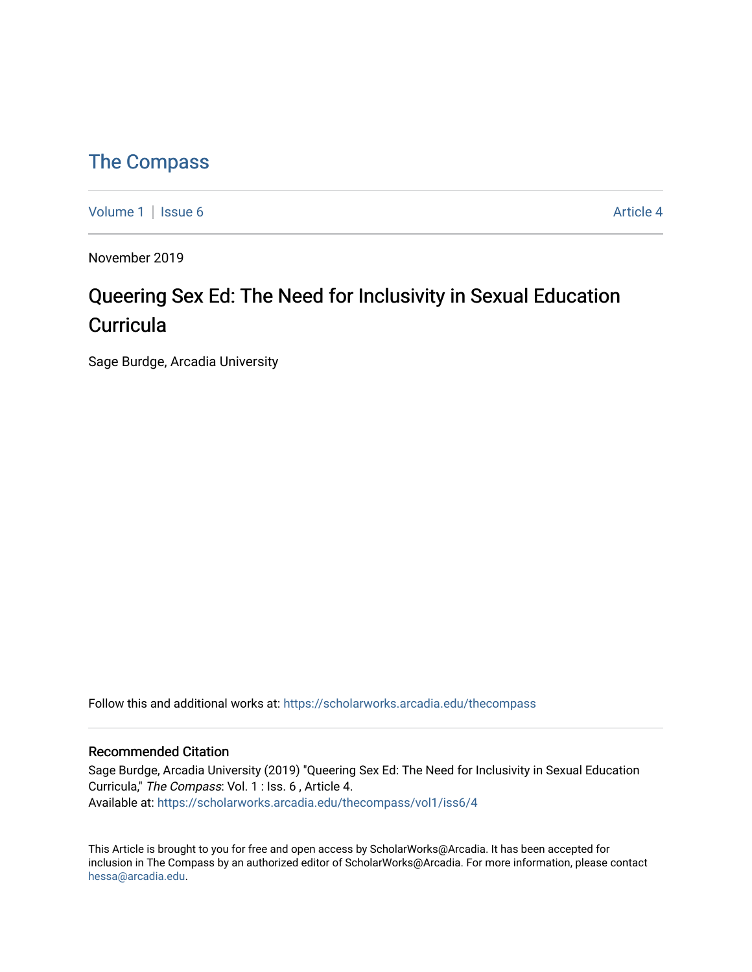### [The Compass](https://scholarworks.arcadia.edu/thecompass)

[Volume 1](https://scholarworks.arcadia.edu/thecompass/vol1) | [Issue 6](https://scholarworks.arcadia.edu/thecompass/vol1/iss6) Article 4

November 2019

## Queering Sex Ed: The Need for Inclusivity in Sexual Education **Curricula**

Sage Burdge, Arcadia University

Follow this and additional works at: [https://scholarworks.arcadia.edu/thecompass](https://scholarworks.arcadia.edu/thecompass?utm_source=scholarworks.arcadia.edu%2Fthecompass%2Fvol1%2Fiss6%2F4&utm_medium=PDF&utm_campaign=PDFCoverPages) 

#### Recommended Citation

Sage Burdge, Arcadia University (2019) "Queering Sex Ed: The Need for Inclusivity in Sexual Education Curricula," The Compass: Vol. 1 : Iss. 6 , Article 4. Available at: [https://scholarworks.arcadia.edu/thecompass/vol1/iss6/4](https://scholarworks.arcadia.edu/thecompass/vol1/iss6/4?utm_source=scholarworks.arcadia.edu%2Fthecompass%2Fvol1%2Fiss6%2F4&utm_medium=PDF&utm_campaign=PDFCoverPages)

This Article is brought to you for free and open access by ScholarWorks@Arcadia. It has been accepted for inclusion in The Compass by an authorized editor of ScholarWorks@Arcadia. For more information, please contact [hessa@arcadia.edu.](mailto:hessa@arcadia.edu)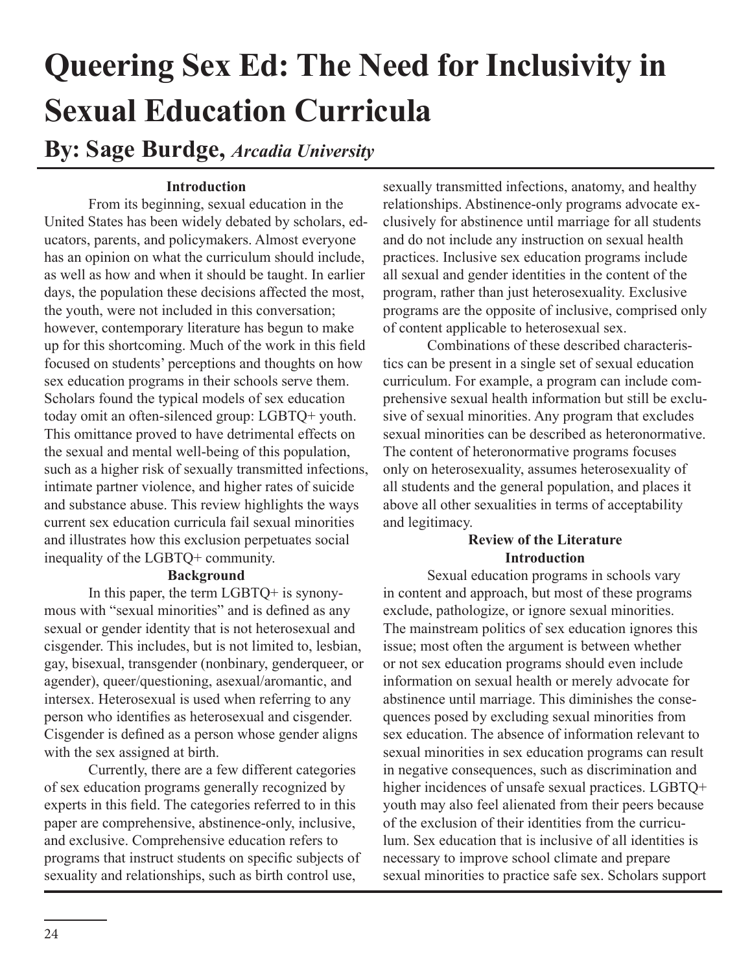# **Queering Sex Ed: The Need for Inclusivity in Sexual Education Curricula**

**By: Sage Burdge,** *Arcadia University*

#### **Introduction**

From its beginning, sexual education in the United States has been widely debated by scholars, educators, parents, and policymakers. Almost everyone has an opinion on what the curriculum should include, as well as how and when it should be taught. In earlier days, the population these decisions affected the most, the youth, were not included in this conversation; however, contemporary literature has begun to make up for this shortcoming. Much of the work in this field focused on students' perceptions and thoughts on how sex education programs in their schools serve them. Scholars found the typical models of sex education today omit an often-silenced group: LGBTQ+ youth. This omittance proved to have detrimental effects on the sexual and mental well-being of this population, such as a higher risk of sexually transmitted infections, intimate partner violence, and higher rates of suicide and substance abuse. This review highlights the ways current sex education curricula fail sexual minorities and illustrates how this exclusion perpetuates social inequality of the LGBTQ+ community.

#### **Background**

In this paper, the term LGBTQ+ is synonymous with "sexual minorities" and is defined as any sexual or gender identity that is not heterosexual and cisgender. This includes, but is not limited to, lesbian, gay, bisexual, transgender (nonbinary, genderqueer, or agender), queer/questioning, asexual/aromantic, and intersex. Heterosexual is used when referring to any person who identifies as heterosexual and cisgender. Cisgender is defined as a person whose gender aligns with the sex assigned at birth.

Currently, there are a few different categories of sex education programs generally recognized by experts in this field. The categories referred to in this paper are comprehensive, abstinence-only, inclusive, and exclusive. Comprehensive education refers to programs that instruct students on specific subjects of sexuality and relationships, such as birth control use,

sexually transmitted infections, anatomy, and healthy relationships. Abstinence-only programs advocate exclusively for abstinence until marriage for all students and do not include any instruction on sexual health practices. Inclusive sex education programs include all sexual and gender identities in the content of the program, rather than just heterosexuality. Exclusive programs are the opposite of inclusive, comprised only of content applicable to heterosexual sex.

Combinations of these described characteristics can be present in a single set of sexual education curriculum. For example, a program can include comprehensive sexual health information but still be exclusive of sexual minorities. Any program that excludes sexual minorities can be described as heteronormative. The content of heteronormative programs focuses only on heterosexuality, assumes heterosexuality of all students and the general population, and places it above all other sexualities in terms of acceptability and legitimacy.

#### **Review of the Literature Introduction**

Sexual education programs in schools vary in content and approach, but most of these programs exclude, pathologize, or ignore sexual minorities. The mainstream politics of sex education ignores this issue; most often the argument is between whether or not sex education programs should even include information on sexual health or merely advocate for abstinence until marriage. This diminishes the consequences posed by excluding sexual minorities from sex education. The absence of information relevant to sexual minorities in sex education programs can result in negative consequences, such as discrimination and higher incidences of unsafe sexual practices. LGBTQ+ youth may also feel alienated from their peers because of the exclusion of their identities from the curriculum. Sex education that is inclusive of all identities is necessary to improve school climate and prepare sexual minorities to practice safe sex. Scholars support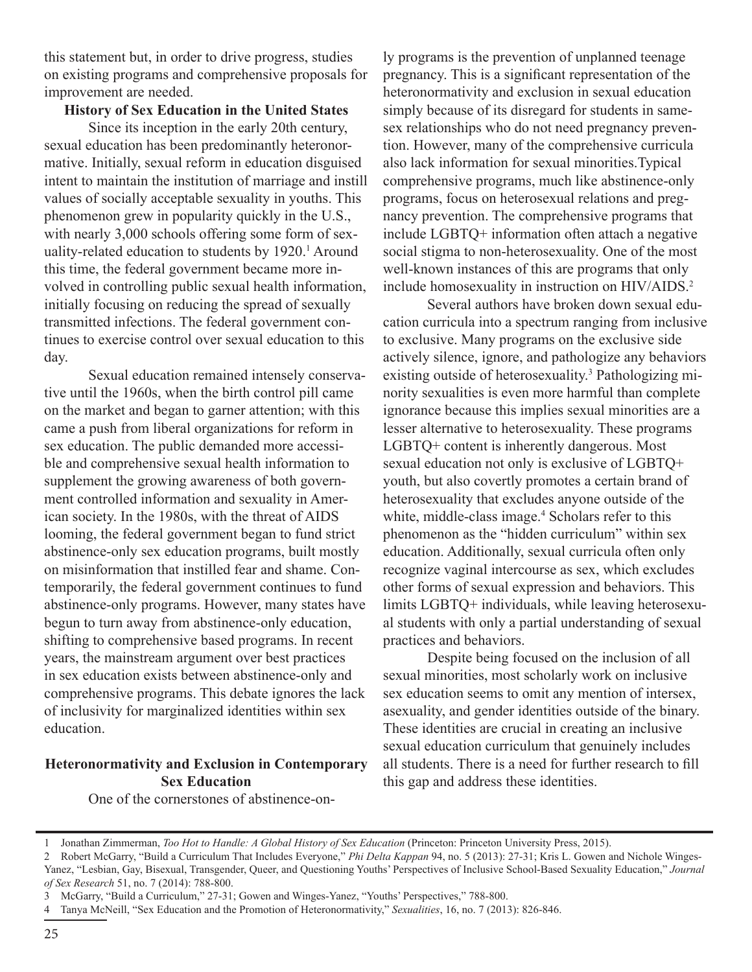this statement but, in order to drive progress, studies on existing programs and comprehensive proposals for improvement are needed.

#### **History of Sex Education in the United States**

Since its inception in the early 20th century, sexual education has been predominantly heteronormative. Initially, sexual reform in education disguised intent to maintain the institution of marriage and instill values of socially acceptable sexuality in youths. This phenomenon grew in popularity quickly in the U.S., with nearly 3,000 schools offering some form of sexuality-related education to students by 1920.<sup>1</sup> Around this time, the federal government became more involved in controlling public sexual health information, initially focusing on reducing the spread of sexually transmitted infections. The federal government continues to exercise control over sexual education to this day.

Sexual education remained intensely conservative until the 1960s, when the birth control pill came on the market and began to garner attention; with this came a push from liberal organizations for reform in sex education. The public demanded more accessible and comprehensive sexual health information to supplement the growing awareness of both government controlled information and sexuality in American society. In the 1980s, with the threat of AIDS looming, the federal government began to fund strict abstinence-only sex education programs, built mostly on misinformation that instilled fear and shame. Contemporarily, the federal government continues to fund abstinence-only programs. However, many states have begun to turn away from abstinence-only education, shifting to comprehensive based programs. In recent years, the mainstream argument over best practices in sex education exists between abstinence-only and comprehensive programs. This debate ignores the lack of inclusivity for marginalized identities within sex education.

#### **Heteronormativity and Exclusion in Contemporary Sex Education**

ly programs is the prevention of unplanned teenage pregnancy. This is a significant representation of the heteronormativity and exclusion in sexual education simply because of its disregard for students in samesex relationships who do not need pregnancy prevention. However, many of the comprehensive curricula also lack information for sexual minorities.Typical comprehensive programs, much like abstinence-only programs, focus on heterosexual relations and pregnancy prevention. The comprehensive programs that include LGBTQ+ information often attach a negative social stigma to non-heterosexuality. One of the most well-known instances of this are programs that only include homosexuality in instruction on HIV/AIDS.<sup>2</sup>

Several authors have broken down sexual education curricula into a spectrum ranging from inclusive to exclusive. Many programs on the exclusive side actively silence, ignore, and pathologize any behaviors existing outside of heterosexuality.<sup>3</sup> Pathologizing minority sexualities is even more harmful than complete ignorance because this implies sexual minorities are a lesser alternative to heterosexuality. These programs LGBTQ+ content is inherently dangerous. Most sexual education not only is exclusive of LGBTQ+ youth, but also covertly promotes a certain brand of heterosexuality that excludes anyone outside of the white, middle-class image.<sup>4</sup> Scholars refer to this phenomenon as the "hidden curriculum" within sex education. Additionally, sexual curricula often only recognize vaginal intercourse as sex, which excludes other forms of sexual expression and behaviors. This limits LGBTQ+ individuals, while leaving heterosexual students with only a partial understanding of sexual practices and behaviors.

Despite being focused on the inclusion of all sexual minorities, most scholarly work on inclusive sex education seems to omit any mention of intersex, asexuality, and gender identities outside of the binary. These identities are crucial in creating an inclusive sexual education curriculum that genuinely includes all students. There is a need for further research to fill this gap and address these identities.

One of the cornerstones of abstinence-on-

<sup>1</sup> Jonathan Zimmerman, *Too Hot to Handle: A Global History of Sex Education* (Princeton: Princeton University Press, 2015).

<sup>2</sup> Robert McGarry, "Build a Curriculum That Includes Everyone," *Phi Delta Kappan* 94, no. 5 (2013): 27-31; Kris L. Gowen and Nichole Winges-Yanez, "Lesbian, Gay, Bisexual, Transgender, Queer, and Questioning Youths' Perspectives of Inclusive School-Based Sexuality Education," *Journal of Sex Research* 51, no. 7 (2014): 788-800.

<sup>3</sup> McGarry, "Build a Curriculum," 27-31; Gowen and Winges-Yanez, "Youths' Perspectives," 788-800.

<sup>4</sup> Tanya McNeill, "Sex Education and the Promotion of Heteronormativity," *Sexualities*, 16, no. 7 (2013): 826-846.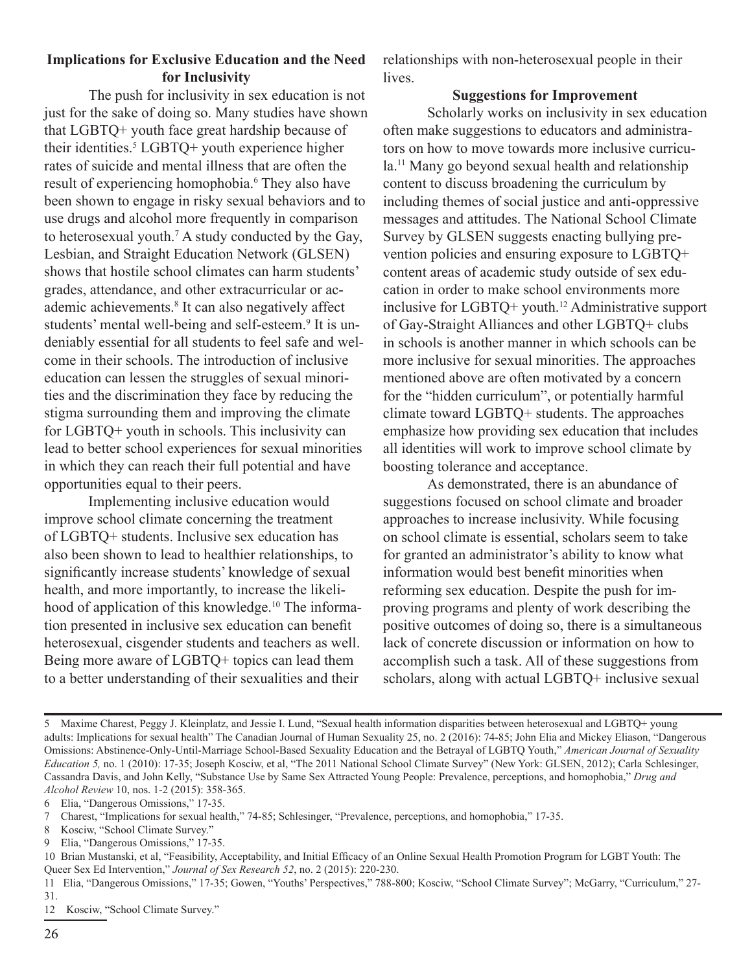#### **Implications for Exclusive Education and the Need for Inclusivity**

The push for inclusivity in sex education is not just for the sake of doing so. Many studies have shown that LGBTQ+ youth face great hardship because of their identities.<sup>5</sup> LGBTQ+ youth experience higher rates of suicide and mental illness that are often the result of experiencing homophobia.<sup>6</sup> They also have been shown to engage in risky sexual behaviors and to use drugs and alcohol more frequently in comparison to heterosexual youth.7 A study conducted by the Gay, Lesbian, and Straight Education Network (GLSEN) shows that hostile school climates can harm students' grades, attendance, and other extracurricular or academic achievements.<sup>8</sup> It can also negatively affect students' mental well-being and self-esteem.<sup>9</sup> It is undeniably essential for all students to feel safe and welcome in their schools. The introduction of inclusive education can lessen the struggles of sexual minorities and the discrimination they face by reducing the stigma surrounding them and improving the climate for LGBTQ+ youth in schools. This inclusivity can lead to better school experiences for sexual minorities in which they can reach their full potential and have opportunities equal to their peers.

Implementing inclusive education would improve school climate concerning the treatment of LGBTQ+ students. Inclusive sex education has also been shown to lead to healthier relationships, to significantly increase students' knowledge of sexual health, and more importantly, to increase the likelihood of application of this knowledge.<sup>10</sup> The information presented in inclusive sex education can benefit heterosexual, cisgender students and teachers as well. Being more aware of LGBTQ+ topics can lead them to a better understanding of their sexualities and their

relationships with non-heterosexual people in their lives.

#### **Suggestions for Improvement**

Scholarly works on inclusivity in sex education often make suggestions to educators and administrators on how to move towards more inclusive curricula.11 Many go beyond sexual health and relationship content to discuss broadening the curriculum by including themes of social justice and anti-oppressive messages and attitudes. The National School Climate Survey by GLSEN suggests enacting bullying prevention policies and ensuring exposure to LGBTQ+ content areas of academic study outside of sex education in order to make school environments more inclusive for LGBTQ+ youth.12 Administrative support of Gay-Straight Alliances and other LGBTQ+ clubs in schools is another manner in which schools can be more inclusive for sexual minorities. The approaches mentioned above are often motivated by a concern for the "hidden curriculum", or potentially harmful climate toward LGBTQ+ students. The approaches emphasize how providing sex education that includes all identities will work to improve school climate by boosting tolerance and acceptance.

As demonstrated, there is an abundance of suggestions focused on school climate and broader approaches to increase inclusivity. While focusing on school climate is essential, scholars seem to take for granted an administrator's ability to know what information would best benefit minorities when reforming sex education. Despite the push for improving programs and plenty of work describing the positive outcomes of doing so, there is a simultaneous lack of concrete discussion or information on how to accomplish such a task. All of these suggestions from scholars, along with actual LGBTQ+ inclusive sexual

<sup>5</sup> Maxime Charest, Peggy J. Kleinplatz, and Jessie I. Lund, "Sexual health information disparities between heterosexual and LGBTQ+ young adults: Implications for sexual health" The Canadian Journal of Human Sexuality 25, no. 2 (2016): 74-85; John Elia and Mickey Eliason, "Dangerous Omissions: Abstinence-Only-Until-Marriage School-Based Sexuality Education and the Betrayal of LGBTQ Youth," *American Journal of Sexuality Education 5,* no. 1 (2010): 17-35; Joseph Kosciw, et al, "The 2011 National School Climate Survey" (New York: GLSEN, 2012); Carla Schlesinger, Cassandra Davis, and John Kelly, "Substance Use by Same Sex Attracted Young People: Prevalence, perceptions, and homophobia," *Drug and Alcohol Review* 10, nos. 1-2 (2015): 358-365.

<sup>6</sup> Elia, "Dangerous Omissions," 17-35.

<sup>7</sup> Charest, "Implications for sexual health," 74-85; Schlesinger, "Prevalence, perceptions, and homophobia," 17-35.

<sup>8</sup> Kosciw, "School Climate Survey."

<sup>9</sup> Elia, "Dangerous Omissions," 17-35.

<sup>10</sup> Brian Mustanski, et al, "Feasibility, Acceptability, and Initial Efficacy of an Online Sexual Health Promotion Program for LGBT Youth: The Queer Sex Ed Intervention," *Journal of Sex Research 52*, no. 2 (2015): 220-230.

<sup>11</sup> Elia, "Dangerous Omissions," 17-35; Gowen, "Youths' Perspectives," 788-800; Kosciw, "School Climate Survey"; McGarry, "Curriculum," 27- 31.

<sup>12</sup> Kosciw, "School Climate Survey."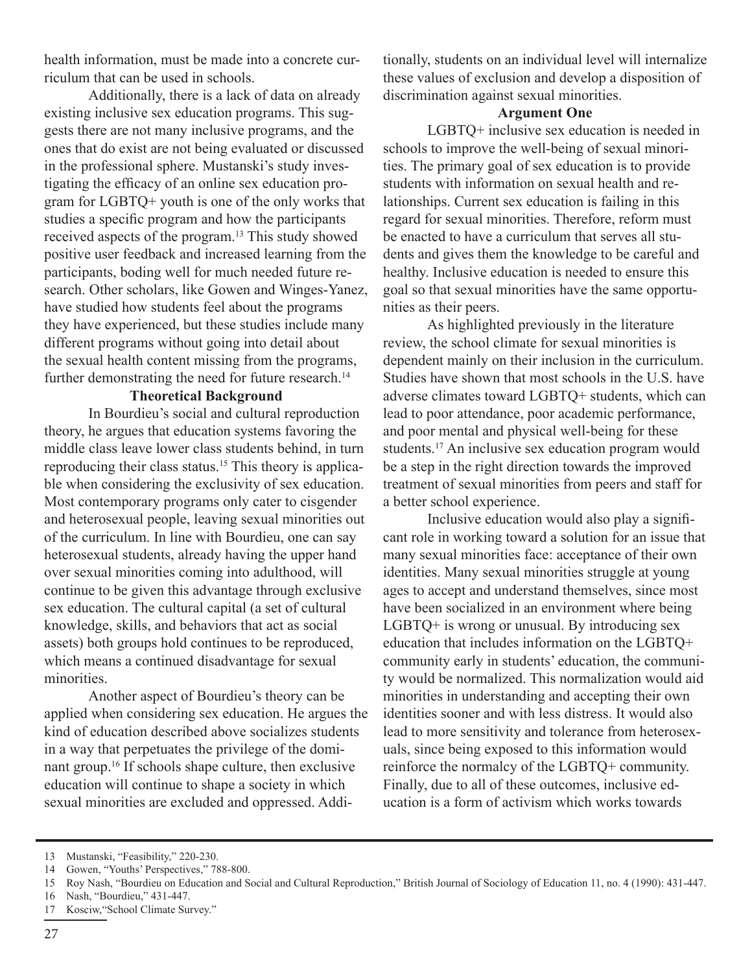health information, must be made into a concrete curriculum that can be used in schools.

Additionally, there is a lack of data on already existing inclusive sex education programs. This suggests there are not many inclusive programs, and the ones that do exist are not being evaluated or discussed in the professional sphere. Mustanski's study investigating the efficacy of an online sex education program for LGBTQ+ youth is one of the only works that studies a specific program and how the participants received aspects of the program.13 This study showed positive user feedback and increased learning from the participants, boding well for much needed future research. Other scholars, like Gowen and Winges-Yanez, have studied how students feel about the programs they have experienced, but these studies include many different programs without going into detail about the sexual health content missing from the programs, further demonstrating the need for future research.<sup>14</sup>

#### **Theoretical Background**

In Bourdieu's social and cultural reproduction theory, he argues that education systems favoring the middle class leave lower class students behind, in turn reproducing their class status.15 This theory is applicable when considering the exclusivity of sex education. Most contemporary programs only cater to cisgender and heterosexual people, leaving sexual minorities out of the curriculum. In line with Bourdieu, one can say heterosexual students, already having the upper hand over sexual minorities coming into adulthood, will continue to be given this advantage through exclusive sex education. The cultural capital (a set of cultural knowledge, skills, and behaviors that act as social assets) both groups hold continues to be reproduced, which means a continued disadvantage for sexual minorities.

Another aspect of Bourdieu's theory can be applied when considering sex education. He argues the kind of education described above socializes students in a way that perpetuates the privilege of the dominant group.16 If schools shape culture, then exclusive education will continue to shape a society in which sexual minorities are excluded and oppressed. Additionally, students on an individual level will internalize these values of exclusion and develop a disposition of discrimination against sexual minorities.

#### **Argument One**

LGBTQ+ inclusive sex education is needed in schools to improve the well-being of sexual minorities. The primary goal of sex education is to provide students with information on sexual health and relationships. Current sex education is failing in this regard for sexual minorities. Therefore, reform must be enacted to have a curriculum that serves all students and gives them the knowledge to be careful and healthy. Inclusive education is needed to ensure this goal so that sexual minorities have the same opportunities as their peers.

As highlighted previously in the literature review, the school climate for sexual minorities is dependent mainly on their inclusion in the curriculum. Studies have shown that most schools in the U.S. have adverse climates toward LGBTQ+ students, which can lead to poor attendance, poor academic performance, and poor mental and physical well-being for these students.<sup>17</sup> An inclusive sex education program would be a step in the right direction towards the improved treatment of sexual minorities from peers and staff for a better school experience.

Inclusive education would also play a significant role in working toward a solution for an issue that many sexual minorities face: acceptance of their own identities. Many sexual minorities struggle at young ages to accept and understand themselves, since most have been socialized in an environment where being LGBTQ+ is wrong or unusual. By introducing sex education that includes information on the LGBTQ+ community early in students' education, the community would be normalized. This normalization would aid minorities in understanding and accepting their own identities sooner and with less distress. It would also lead to more sensitivity and tolerance from heterosexuals, since being exposed to this information would reinforce the normalcy of the LGBTQ+ community. Finally, due to all of these outcomes, inclusive education is a form of activism which works towards

<sup>13</sup> Mustanski, "Feasibility," 220-230.

<sup>14</sup> Gowen, "Youths' Perspectives," 788-800.

<sup>15</sup> Roy Nash, "Bourdieu on Education and Social and Cultural Reproduction," British Journal of Sociology of Education 11, no. 4 (1990): 431-447.

<sup>16</sup> Nash, "Bourdieu," 431-447.

<sup>17</sup> Kosciw,"School Climate Survey."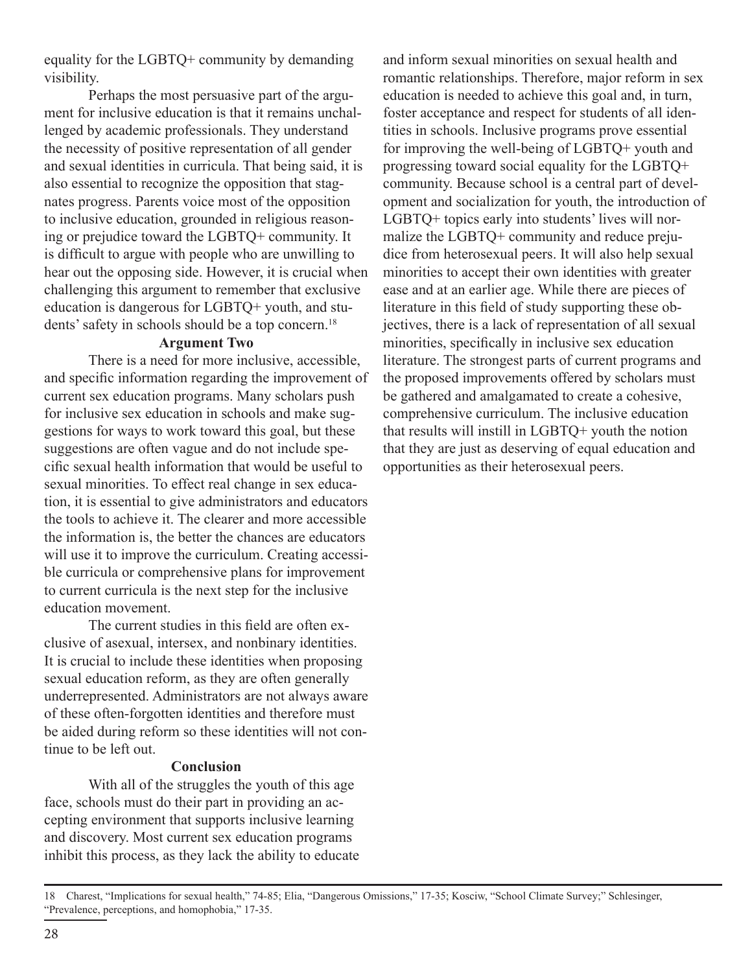equality for the LGBTQ+ community by demanding visibility.

Perhaps the most persuasive part of the argument for inclusive education is that it remains unchallenged by academic professionals. They understand the necessity of positive representation of all gender and sexual identities in curricula. That being said, it is also essential to recognize the opposition that stagnates progress. Parents voice most of the opposition to inclusive education, grounded in religious reasoning or prejudice toward the LGBTQ+ community. It is difficult to argue with people who are unwilling to hear out the opposing side. However, it is crucial when challenging this argument to remember that exclusive education is dangerous for LGBTQ+ youth, and students' safety in schools should be a top concern.<sup>18</sup>

#### **Argument Two**

There is a need for more inclusive, accessible, and specific information regarding the improvement of current sex education programs. Many scholars push for inclusive sex education in schools and make suggestions for ways to work toward this goal, but these suggestions are often vague and do not include specific sexual health information that would be useful to sexual minorities. To effect real change in sex education, it is essential to give administrators and educators the tools to achieve it. The clearer and more accessible the information is, the better the chances are educators will use it to improve the curriculum. Creating accessible curricula or comprehensive plans for improvement to current curricula is the next step for the inclusive education movement.

The current studies in this field are often exclusive of asexual, intersex, and nonbinary identities. It is crucial to include these identities when proposing sexual education reform, as they are often generally underrepresented. Administrators are not always aware of these often-forgotten identities and therefore must be aided during reform so these identities will not continue to be left out.

#### **Conclusion**

With all of the struggles the youth of this age face, schools must do their part in providing an accepting environment that supports inclusive learning and discovery. Most current sex education programs inhibit this process, as they lack the ability to educate

and inform sexual minorities on sexual health and romantic relationships. Therefore, major reform in sex education is needed to achieve this goal and, in turn, foster acceptance and respect for students of all identities in schools. Inclusive programs prove essential for improving the well-being of LGBTQ+ youth and progressing toward social equality for the LGBTQ+ community. Because school is a central part of development and socialization for youth, the introduction of LGBTQ+ topics early into students' lives will normalize the LGBTQ+ community and reduce prejudice from heterosexual peers. It will also help sexual minorities to accept their own identities with greater ease and at an earlier age. While there are pieces of literature in this field of study supporting these objectives, there is a lack of representation of all sexual minorities, specifically in inclusive sex education literature. The strongest parts of current programs and the proposed improvements offered by scholars must be gathered and amalgamated to create a cohesive, comprehensive curriculum. The inclusive education that results will instill in LGBTQ+ youth the notion that they are just as deserving of equal education and opportunities as their heterosexual peers.

<sup>18</sup> Charest, "Implications for sexual health," 74-85; Elia, "Dangerous Omissions," 17-35; Kosciw, "School Climate Survey;" Schlesinger, "Prevalence, perceptions, and homophobia," 17-35.